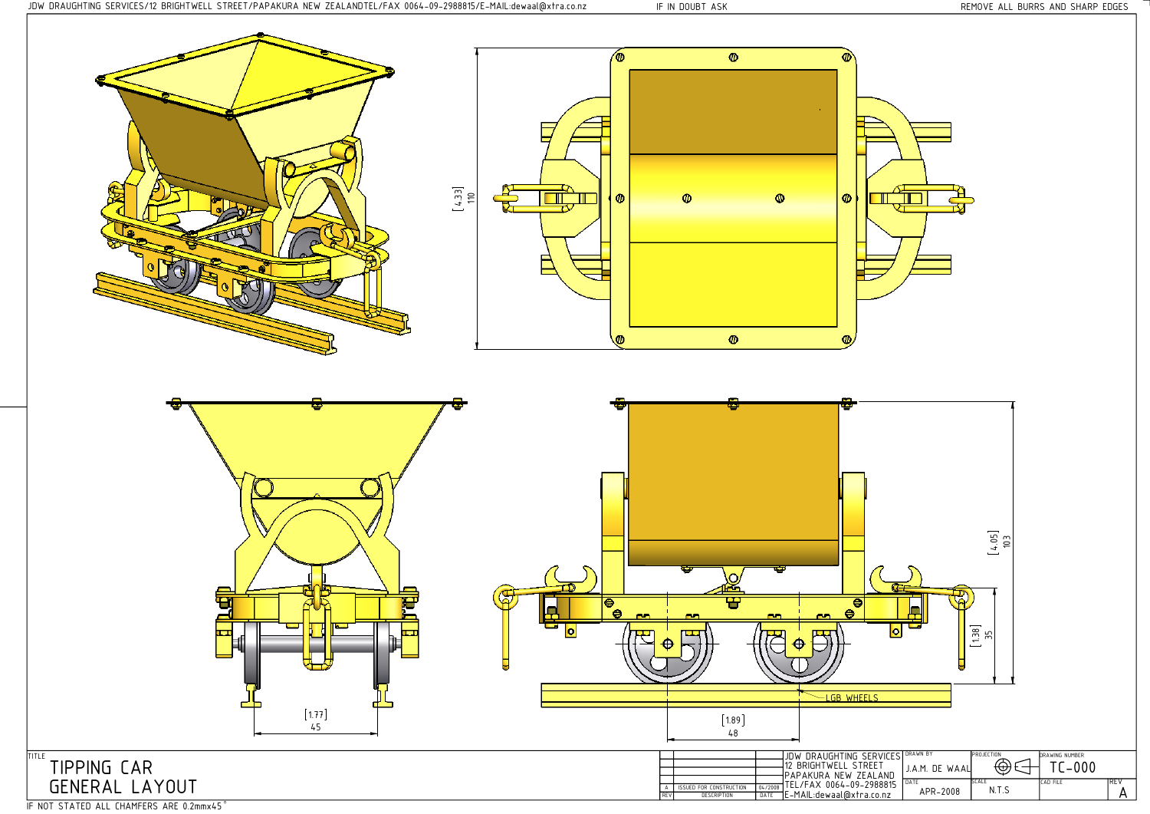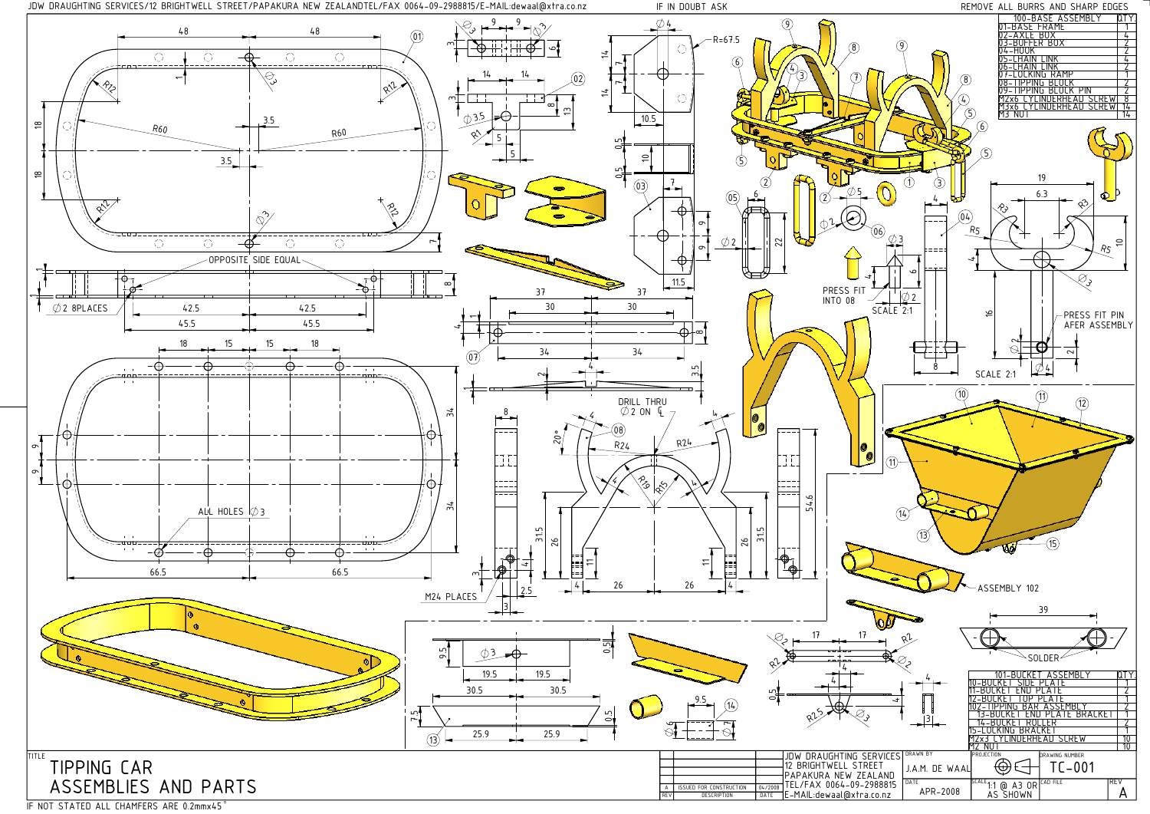



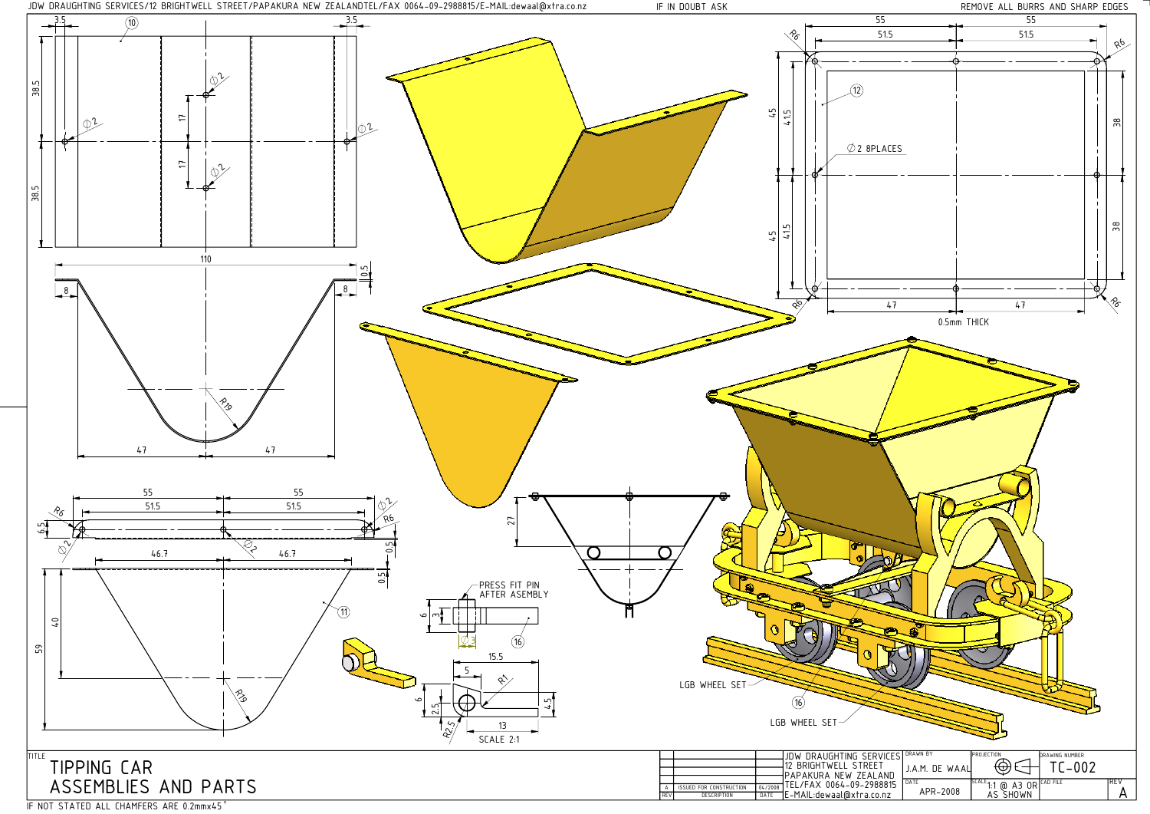